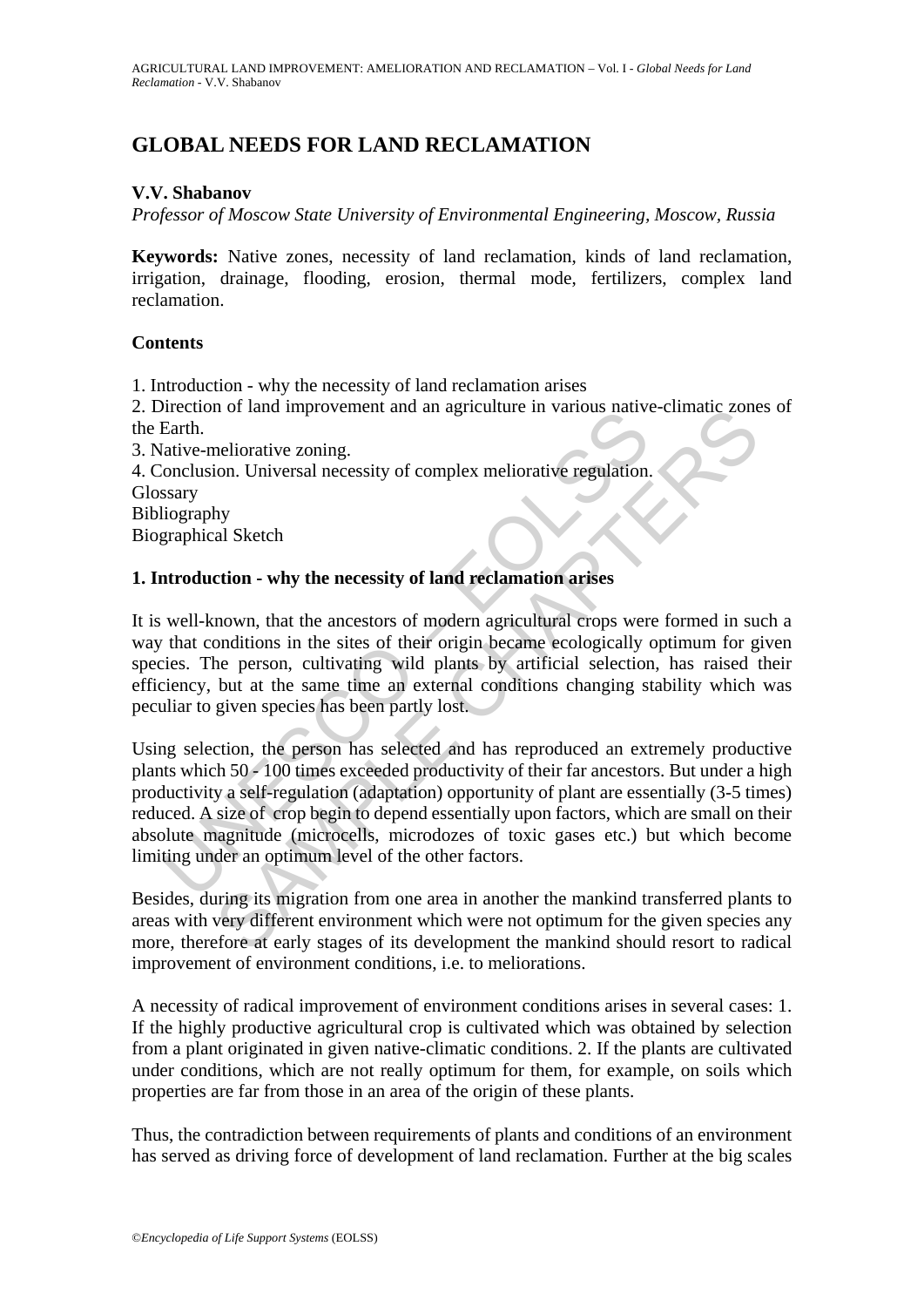# **GLOBAL NEEDS FOR LAND RECLAMATION**

### **V.V. Shabanov**

*Professor of Moscow State University of Environmental Engineering, Moscow, Russia* 

**Keywords:** Native zones, necessity of land reclamation, kinds of land reclamation, irrigation, drainage, flooding, erosion, thermal mode, fertilizers, complex land reclamation.

#### **Contents**

1. Introduction - why the necessity of land reclamation arises

2. Direction of land improvement and an agriculture in various native-climatic zones of the Earth.

3. Native-meliorative zoning. 4. Conclusion. Universal necessity of complex meliorative regulation. Glossary Bibliography

Biographical Sketch

## **1. Introduction - why the necessity of land reclamation arises**

It is well-known, that the ancestors of modern agricultural crops were formed in such a way that conditions in the sites of their origin became ecologically optimum for given species. The person, cultivating wild plants by artificial selection, has raised their efficiency, but at the same time an external conditions changing stability which was peculiar to given species has been partly lost.

Differentiative-meliorative zoning.<br>Earth.<br>Earth.<br>Intive-meliorative zoning.<br>Sonclusion. Universal necessity of complex meliorative regulation.<br>Sary<br>iography<br>graphical Sketch<br>**atroduction - why the necessity of land reclam** not and improvement and an agriculture in various native-climatic zone<br>neliorative zoning.<br>Solid Chapter and a streament and an agriculture in various native-climatic zone<br>hy hy<br>al Sketch<br>tion - why the necessity of land r Using selection, the person has selected and has reproduced an extremely productive plants which 50 - 100 times exceeded productivity of their far ancestors. But under a high productivity a self-regulation (adaptation) opportunity of plant are essentially (3-5 times) reduced. A size of crop begin to depend essentially upon factors, which are small on their absolute magnitude (microcells, microdozes of toxic gases etc.) but which become limiting under an optimum level of the other factors.

Besides, during its migration from one area in another the mankind transferred plants to areas with very different environment which were not optimum for the given species any more, therefore at early stages of its development the mankind should resort to radical improvement of environment conditions, i.e. to meliorations.

A necessity of radical improvement of environment conditions arises in several cases: 1. If the highly productive agricultural crop is cultivated which was obtained by selection from a plant originated in given native-climatic conditions. 2. If the plants are cultivated under conditions, which are not really optimum for them, for example, on soils which properties are far from those in an area of the origin of these plants.

Thus, the contradiction between requirements of plants and conditions of an environment has served as driving force of development of land reclamation. Further at the big scales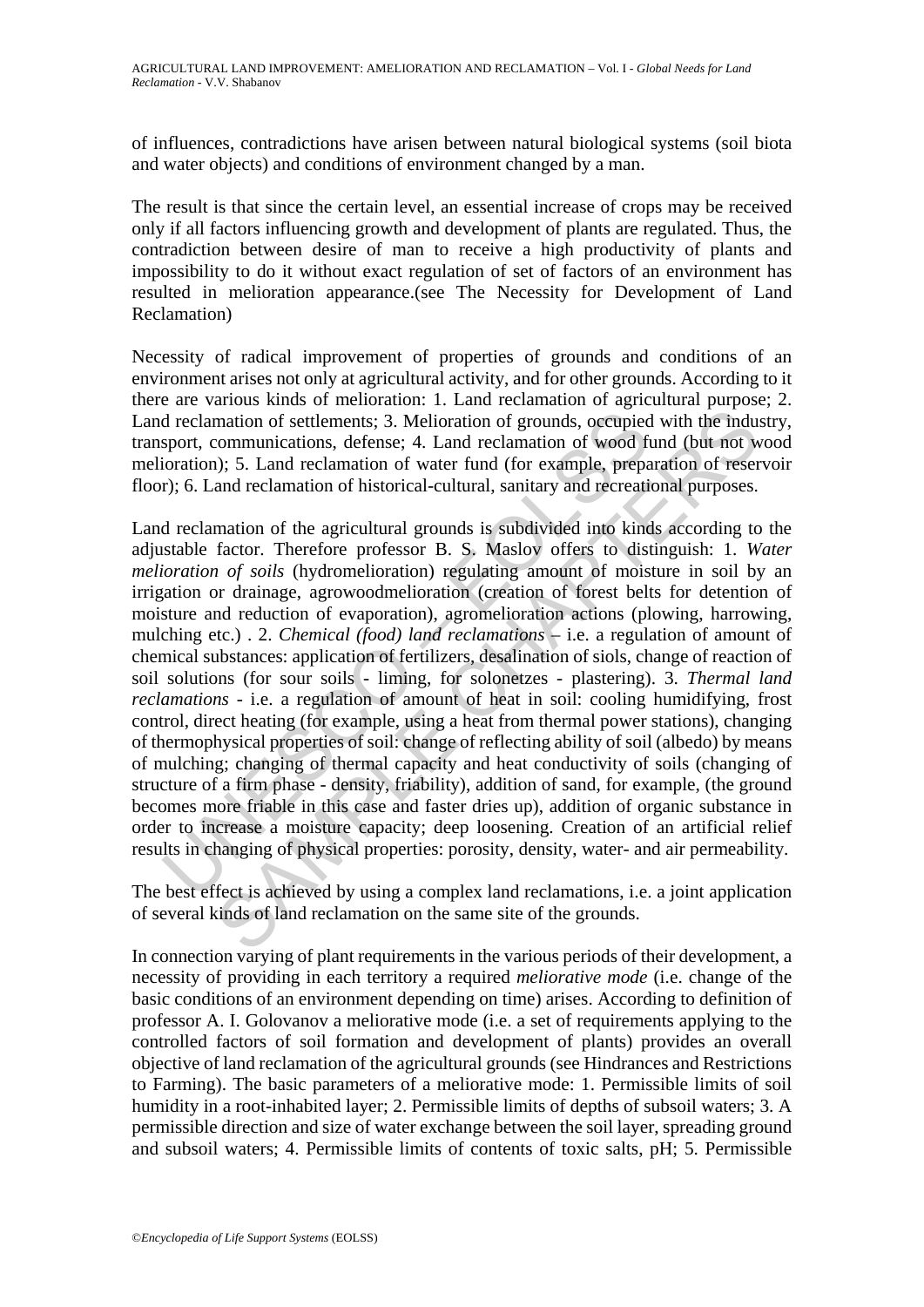of influences, contradictions have arisen between natural biological systems (soil biota and water objects) and conditions of environment changed by a man.

The result is that since the certain level, an essential increase of crops may be received only if all factors influencing growth and development of plants are regulated. Thus, the contradiction between desire of man to receive a high productivity of plants and impossibility to do it without exact regulation of set of factors of an environment has resulted in melioration appearance.(see The Necessity for Development of Land Reclamation)

Necessity of radical improvement of properties of grounds and conditions of an environment arises not only at agricultural activity, and for other grounds. According to it there are various kinds of melioration: 1. Land reclamation of agricultural purpose; 2. Land reclamation of settlements; 3. Melioration of grounds, occupied with the industry, transport, communications, defense; 4. Land reclamation of wood fund (but not wood melioration); 5. Land reclamation of water fund (for example, preparation of reservoir floor); 6. Land reclamation of historical-cultural, sanitary and recreational purposes.

d reclamation of settlements; 3. Melioration of grounds, occupied<br>sport, communications, defense; 4. Land reclamation of wood fi<br>oration); 5. Land reclamation of water fund (for example, prepa<br>r); 6. Land reclamation of hi mation of settlements; 3. Melioration of grounds, occupied with the inducommunications, defense; 4. Land reclamation of wood fund (but not w, i); 5. Land reclamation of water fund (for example, preparation of reservant re Land reclamation of the agricultural grounds is subdivided into kinds according to the adjustable factor. Therefore professor B. S. Maslov offers to distinguish: 1. *Water melioration of soils* (hydromelioration) regulating amount of moisture in soil by an irrigation or drainage, agrowoodmelioration (creation of forest belts for detention of moisture and reduction of evaporation), agromelioration actions (plowing, harrowing, mulching etc.) . 2. *Chemical (food) land reclamations* – i.e. a regulation of amount of chemical substances: application of fertilizers, desalination of siols, change of reaction of soil solutions (for sour soils - liming, for solonetzes - plastering). 3. *Thermal land reclamations* - i.e. a regulation of amount of heat in soil: cooling humidifying, frost control, direct heating (for example, using a heat from thermal power stations), changing of thermophysical properties of soil: change of reflecting ability of soil (albedo) by means of mulching; changing of thermal capacity and heat conductivity of soils (changing of structure of a firm phase - density, friability), addition of sand, for example, (the ground becomes more friable in this case and faster dries up), addition of organic substance in order to increase a moisture capacity; deep loosening. Creation of an artificial relief results in changing of physical properties: porosity, density, water- and air permeability.

The best effect is achieved by using a complex land reclamations, i.e. a joint application of several kinds of land reclamation on the same site of the grounds.

In connection varying of plant requirements in the various periods of their development, a necessity of providing in each territory a required *meliorative mode* (i.e. change of the basic conditions of an environment depending on time) arises. According to definition of professor A. I. Golovanov a meliorative mode (i.e. a set of requirements applying to the controlled factors of soil formation and development of plants) provides an overall objective of land reclamation of the agricultural grounds (see Hindrances and Restrictions to Farming). The basic parameters of a meliorative mode: 1. Permissible limits of soil humidity in a root-inhabited layer; 2. Permissible limits of depths of subsoil waters; 3. A permissible direction and size of water exchange between the soil layer, spreading ground and subsoil waters; 4. Permissible limits of contents of toxic salts, pH; 5. Permissible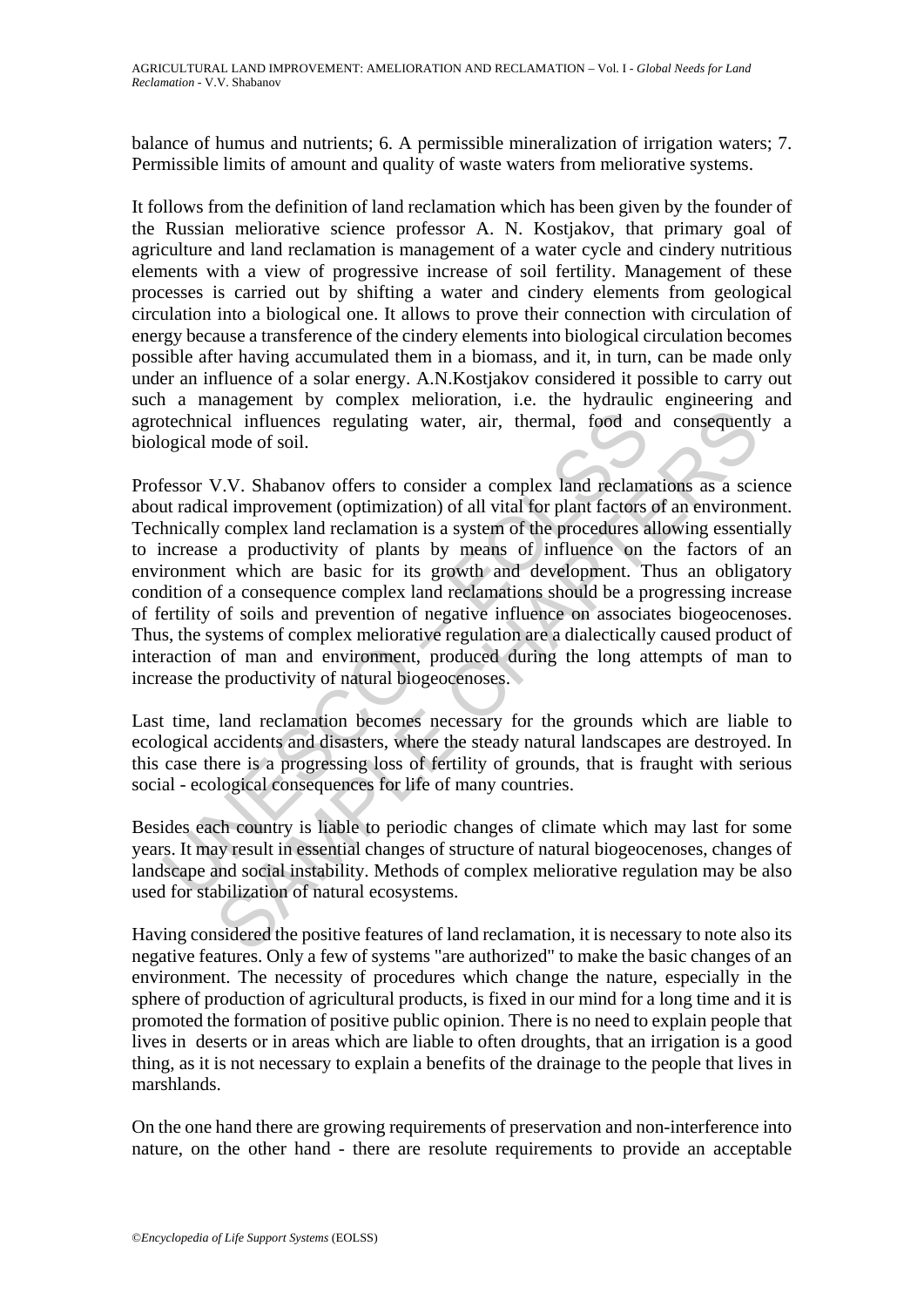balance of humus and nutrients; 6. A permissible mineralization of irrigation waters; 7. Permissible limits of amount and quality of waste waters from meliorative systems.

It follows from the definition of land reclamation which has been given by the founder of the Russian meliorative science professor A. N. Kostjakov, that primary goal of agriculture and land reclamation is management of a water cycle and cindery nutritious elements with a view of progressive increase of soil fertility. Management of these processes is carried out by shifting a water and cindery elements from geological circulation into a biological one. It allows to prove their connection with circulation of energy because a transference of the cindery elements into biological circulation becomes possible after having accumulated them in a biomass, and it, in turn, can be made only under an influence of a solar energy. A.N.Kostjakov considered it possible to carry out such a management by complex melioration, i.e. the hydraulic engineering and agrotechnical influences regulating water, air, thermal, food and consequently a biological mode of soil.

bechnical influences regulating water, air, thermal, food an ogical mode of soil.<br>
Fessor V.V. Shabanov offers to consider a complex land reclame<br>
tut radical improvement (optimization) of all vital for plant factors<br>
tut cal influences regulating water, air, thermal, food and consequent<br>mode of soil.<br>W.V. Shabanov offers to consider a complex land reclamations as a scial<br>improvement (optimization) of all vital for plant factors of an envir Professor V.V. Shabanov offers to consider a complex land reclamations as a science about radical improvement (optimization) of all vital for plant factors of an environment. Technically complex land reclamation is a system of the procedures allowing essentially to increase a productivity of plants by means of influence on the factors of an environment which are basic for its growth and development. Thus an obligatory condition of a consequence complex land reclamations should be a progressing increase of fertility of soils and prevention of negative influence on associates biogeocenoses. Thus, the systems of complex meliorative regulation are a dialectically caused product of interaction of man and environment, produced during the long attempts of man to increase the productivity of natural biogeocenoses.

Last time, land reclamation becomes necessary for the grounds which are liable to ecological accidents and disasters, where the steady natural landscapes are destroyed. In this case there is a progressing loss of fertility of grounds, that is fraught with serious social - ecological consequences for life of many countries.

Besides each country is liable to periodic changes of climate which may last for some years. It may result in essential changes of structure of natural biogeocenoses, changes of landscape and social instability. Methods of complex meliorative regulation may be also used for stabilization of natural ecosystems.

Having considered the positive features of land reclamation, it is necessary to note also its negative features. Only a few of systems "are authorized" to make the basic changes of an environment. The necessity of procedures which change the nature, especially in the sphere of production of agricultural products, is fixed in our mind for a long time and it is promoted the formation of positive public opinion. There is no need to explain people that lives in deserts or in areas which are liable to often droughts, that an irrigation is a good thing, as it is not necessary to explain a benefits of the drainage to the people that lives in marshlands.

On the one hand there are growing requirements of preservation and non-interference into nature, on the other hand - there are resolute requirements to provide an acceptable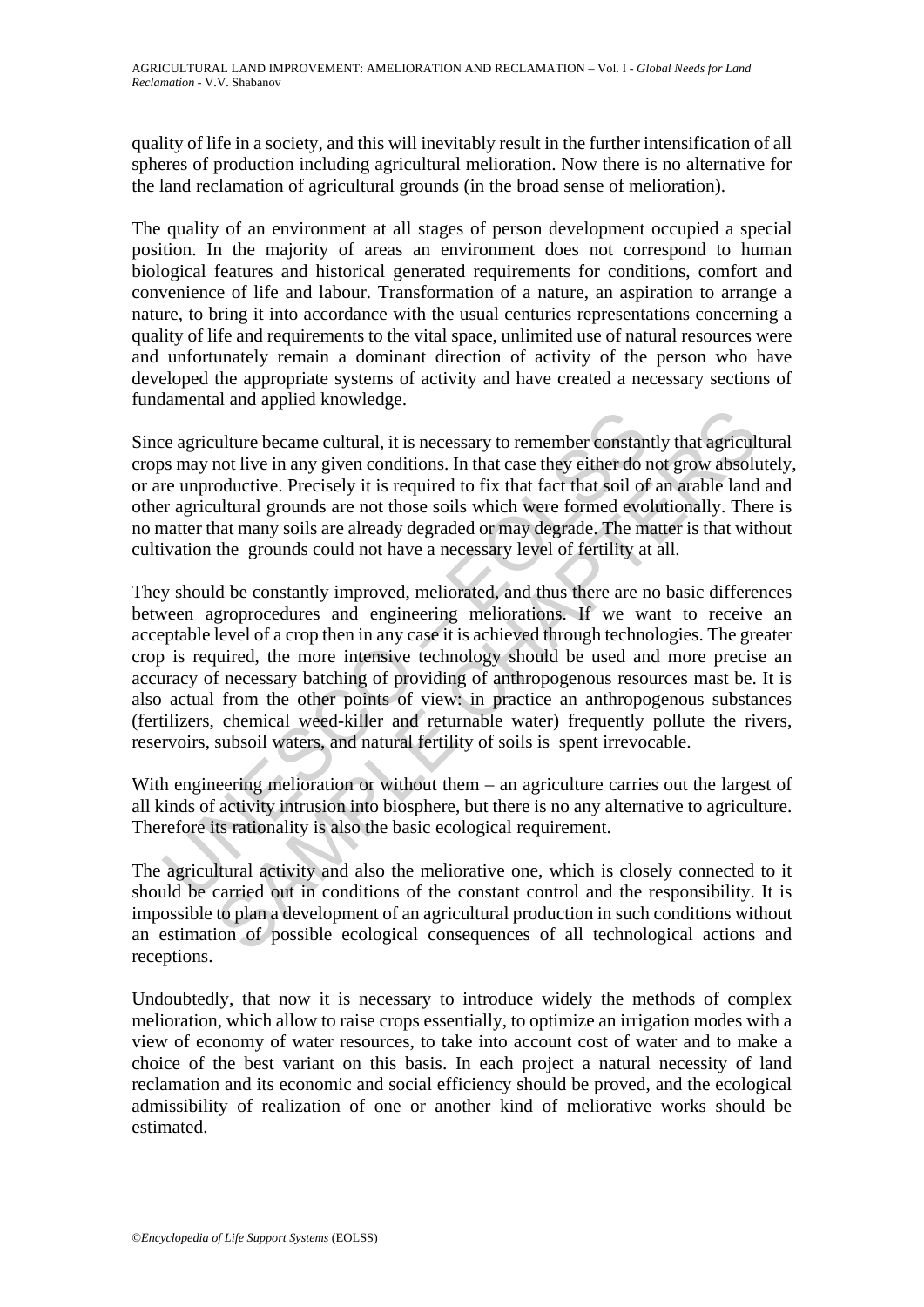quality of life in a society, and this will inevitably result in the further intensification of all spheres of production including agricultural melioration. Now there is no alternative for the land reclamation of agricultural grounds (in the broad sense of melioration).

The quality of an environment at all stages of person development occupied a special position. In the majority of areas an environment does not correspond to human biological features and historical generated requirements for conditions, comfort and convenience of life and labour. Transformation of a nature, an aspiration to arrange a nature, to bring it into accordance with the usual centuries representations concerning a quality of life and requirements to the vital space, unlimited use of natural resources were and unfortunately remain a dominant direction of activity of the person who have developed the appropriate systems of activity and have created a necessary sections of fundamental and applied knowledge.

Since agriculture became cultural, it is necessary to remember constantly that agricultural crops may not live in any given conditions. In that case they either do not grow absolutely, or are unproductive. Precisely it is required to fix that fact that soil of an arable land and other agricultural grounds are not those soils which were formed evolutionally. There is no matter that many soils are already degraded or may degrade. The matter is that without cultivation the grounds could not have a necessary level of fertility at all.

Example the came culture is it is necessary to remember constant<br>or so may not live in any given conditions. In that case they either do r<br>for every enductive. Precisely it is required to fix that fact that soil of<br>r a gri manney that is increasing to remember constantly that agriculture became cultural, it is necessary to remember constantly that agricult odicit of our any given conditions. In that case they either do not grow absolut odici They should be constantly improved, meliorated, and thus there are no basic differences between agroprocedures and engineering meliorations. If we want to receive an acceptable level of a crop then in any case it is achieved through technologies. The greater crop is required, the more intensive technology should be used and more precise an accuracy of necessary batching of providing of anthropogenous resources mast be. It is also actual from the other points of view: in practice an anthropogenous substances (fertilizers, chemical weed-killer and returnable water) frequently pollute the rivers, reservoirs, subsoil waters, and natural fertility of soils is spent irrevocable.

With engineering melioration or without them – an agriculture carries out the largest of all kinds of activity intrusion into biosphere, but there is no any alternative to agriculture. Therefore its rationality is also the basic ecological requirement.

The agricultural activity and also the meliorative one, which is closely connected to it should be carried out in conditions of the constant control and the responsibility. It is impossible to plan a development of an agricultural production in such conditions without an estimation of possible ecological consequences of all technological actions and receptions.

Undoubtedly, that now it is necessary to introduce widely the methods of complex melioration, which allow to raise crops essentially, to optimize an irrigation modes with a view of economy of water resources, to take into account cost of water and to make a choice of the best variant on this basis. In each project a natural necessity of land reclamation and its economic and social efficiency should be proved, and the ecological admissibility of realization of one or another kind of meliorative works should be estimated.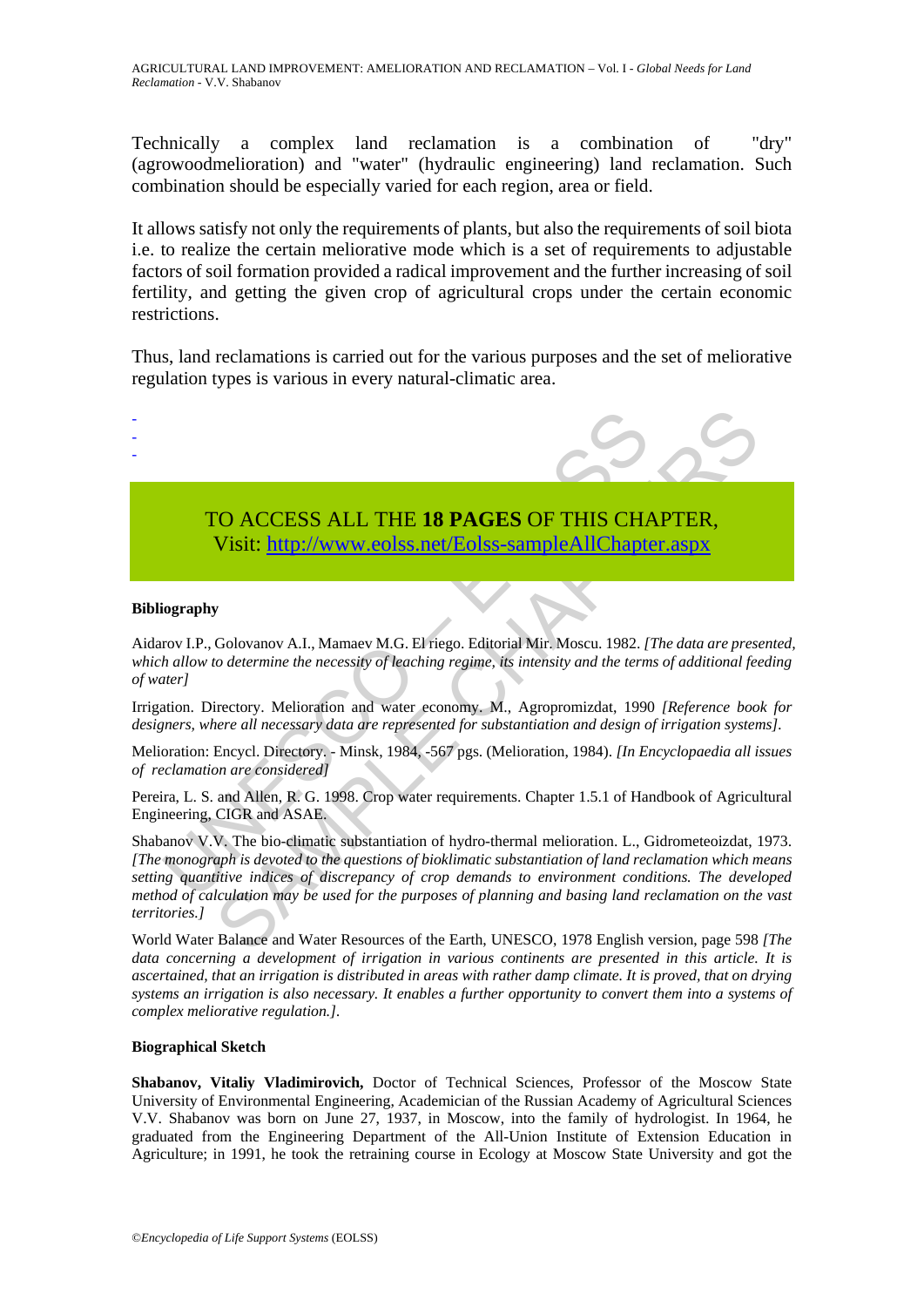Technically a complex land reclamation is a combination of "dry" (agrowoodmelioration) and "water" (hydraulic engineering) land reclamation. Such combination should be especially varied for each region, area or field.

It allows satisfy not only the requirements of plants, but also the requirements of soil biota i.e. to realize the certain meliorative mode which is a set of requirements to adjustable factors of soil formation provided a radical improvement and the further increasing of soil fertility, and getting the given crop of agricultural crops under the certain economic restrictions.

Thus, land reclamations is carried out for the various purposes and the set of meliorative regulation types is various in every natural-climatic area.



#### **Bibliography**

Aidarov I.P., Golovanov A.I., Mamaev M.G. El riego. Editorial Mir. Moscu. 1982. *[The data are presented, which allow to determine the necessity of leaching regime, its intensity and the terms of additional feeding of water]* 

Irrigation. Directory. Melioration and water economy. M., Agropromizdat, 1990 *[Reference book for designers, where all necessary data are represented for substantiation and design of irrigation systems].* 

Melioration: Encycl. Directory. - Minsk, 1984, -567 pgs. (Melioration, 1984). *[In Encyclopaedia all issues of reclamation are considered]* 

Pereira, L. S. and Allen, R. G. 1998. Crop water requirements. Chapter 1.5.1 of Handbook of Agricultural Engineering, CIGR and ASAE.

Shabanov V.V. The bio-climatic substantiation of hydro-thermal melioration. L., Gidrometeoizdat, 1973. *[The monograph is devoted to the questions of bioklimatic substantiation of land reclamation which means setting quantitive indices of discrepancy of crop demands to environment conditions. The developed method of calculation may be used for the purposes of planning and basing land reclamation on the vast territories.]*

World Water Balance and Water Resources of the Earth, UNESCO, 1978 English version, page 598 *[The data concerning a development of irrigation in various continents are presented in this article. It is ascertained, that an irrigation is distributed in areas with rather damp climate. It is proved, that on drying systems an irrigation is also necessary. It enables a further opportunity to convert them into a systems of complex meliorative regulation.].* 

#### **Biographical Sketch**

**Shabanov, Vitaliy Vladimirovich,** Doctor of Technical Sciences, Professor of the Moscow State University of Environmental Engineering, Academician of the Russian Academy of Agricultural Sciences V.V. Shabanov was born on June 27, 1937, in Moscow, into the family of hydrologist. In 1964, he graduated from the Engineering Department of the All-Union Institute of Extension Education in Agriculture; in 1991, he took the retraining course in Ecology at Moscow State University and got the